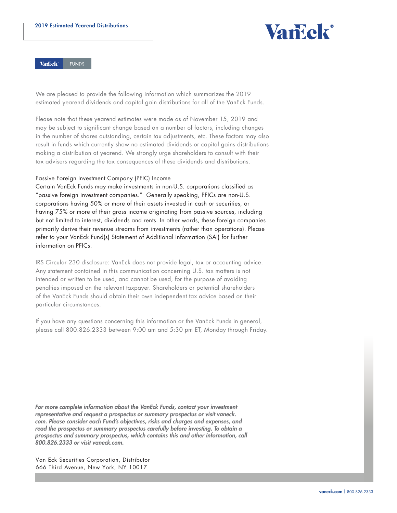

**Vancek FUNDS** 

We are pleased to provide the following information which summarizes the 2019 estimated yearend dividends and capital gain distributions for all of the VanEck Funds.

Please note that these yearend estimates were made as of November 15, 2019 and may be subject to significant change based on a number of factors, including changes in the number of shares outstanding, certain tax adjustments, etc. These factors may also result in funds which currently show no estimated dividends or capital gains distributions making a distribution at yearend. We strongly urge shareholders to consult with their tax advisers regarding the tax consequences of these dividends and distributions.

Passive Foreign Investment Company (PFIC) Income

Certain VanEck Funds may make investments in non-U.S. corporations classified as "passive foreign investment companies." Generally speaking, PFICs are non-U.S. corporations having 50% or more of their assets invested in cash or securities, or having 75% or more of their gross income originating from passive sources, including but not limited to interest, dividends and rents. In other words, these foreign companies primarily derive their revenue streams from investments (rather than operations). Please refer to your VanEck Fund(s) Statement of Additional Information (SAI) for further information on PFICs.

IRS Circular 230 disclosure: VanEck does not provide legal, tax or accounting advice. Any statement contained in this communication concerning U.S. tax matters is not intended or written to be used, and cannot be used, for the purpose of avoiding penalties imposed on the relevant taxpayer. Shareholders or potential shareholders of the VanEck Funds should obtain their own independent tax advice based on their particular circumstances.

If you have any questions concerning this information or the VanEck Funds in general, please call 800.826.2333 between 9:00 am and 5:30 pm ET, Monday through Friday.

*For more complete information about the VanEck Funds, contact your investment representative and request a prospectus or summary prospectus or visit vaneck. com. Please consider each Fund's objectives, risks and charges and expenses, and read the prospectus or summary prospectus carefully before investing. To obtain a prospectus and summary prospectus, which contains this and other information, call 800.826.2333 or visit vaneck.com.* 

Van Eck Securities Corporation, Distributor 666 Third Avenue, New York, NY 10017